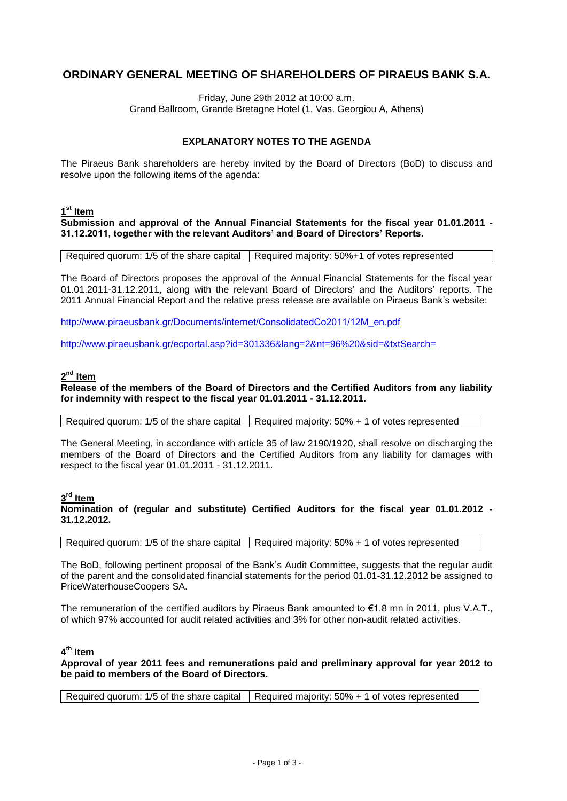# **ORDINARY GENERAL MEETING OF SHAREHOLDERS OF PIRAEUS BANK S.A.**

Friday, June 29th 2012 at 10:00 a.m. Grand Ballroom, Grande Bretagne Hotel (1, Vas. Georgiou Α, Athens)

# **EXPLANATORY NOTES TO THE AGENDA**

The Piraeus Bank shareholders are hereby invited by the Board of Directors (BoD) to discuss and resolve upon the following items of the agenda:

### **1 st Item**

**Submission and approval of the Annual Financial Statements for the fiscal year 01.01.2011 - 31.12.2011, together with the relevant Auditors' and Board of Directors' Reports.**

Required quorum: 1/5 of the share capital  $\vert$  Required majority: 50%+1 of votes represented

The Board of Directors proposes the approval of the Annual Financial Statements for the fiscal year 01.01.2011-31.12.2011, along with the relevant Board of Directors' and the Auditors' reports. The 2011 Annual Financial Report and the relative press release are available on Piraeus Bank's website:

[http://www.piraeusbank.gr/Documents/internet/ConsolidatedCo2011/12Μ\\_en.pdf](http://www.piraeusbank.gr/Documents/internet/ConsolidatedCo2011/12Μ_en.pdf)

[http://www.piraeusbank.gr/ecportal.asp?id=301336&lang=2&nt=96%20&sid=&txtSearch=](http://www.piraeusbank.gr/ecportal.asp?id=301336&lang=2&nt=96%20&sid=&txtSearch)

# **2 nd Item**

**Release of the members of the Board of Directors and the Certified Auditors from any liability for indemnity with respect to the fiscal year 01.01.2011 - 31.12.2011.**

Required quorum: 1/5 of the share capital | Required majority: 50% + 1 of votes represented

The General Meeting, in accordance with article 35 of law 2190/1920, shall resolve on discharging the members of the Board of Directors and the Certified Auditors from any liability for damages with respect to the fiscal year 01.01.2011 - 31.12.2011.

## **3 rd Item**

**Nomination of (regular and substitute) Certified Auditors for the fiscal year 01.01.2012 - 31.12.2012.**

Required quorum: 1/5 of the share capital  $\vert$  Required majority: 50% + 1 of votes represented

The BoD, following pertinent proposal of the Bank's Audit Committee, suggests that the regular audit of the parent and the consolidated financial statements for the period 01.01-31.12.2012 be assigned to PriceWaterhouseCoopers SA.

The remuneration of the certified auditors by Piraeus Bank amounted to €1.8 mn in 2011, plus V.A.T., of which 97% accounted for audit related activities and 3% for other non-audit related activities.

## **4 th Item**

**Approval of year 2011 fees and remunerations paid and preliminary approval for year 2012 to be paid to members of the Board of Directors.**

Required quorum: 1/5 of the share capital Required majority:  $50\% + 1$  of votes represented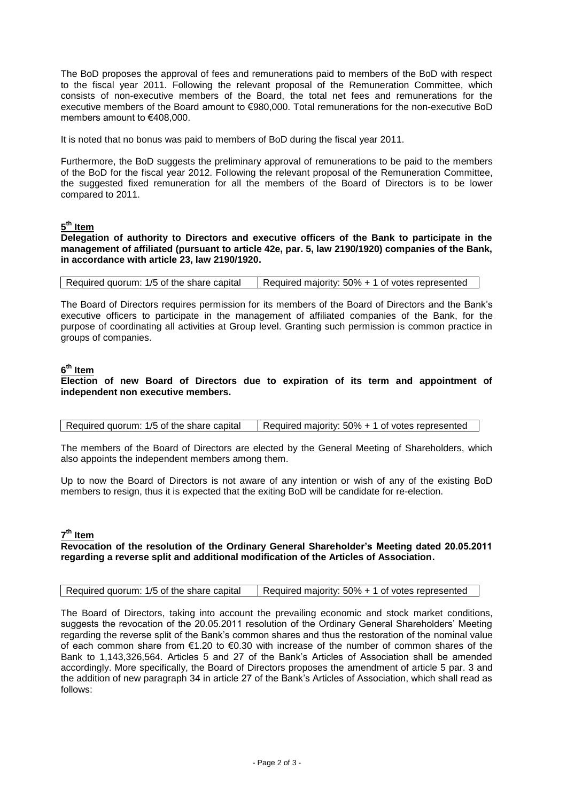The BoD proposes the approval of fees and remunerations paid to members of the BoD with respect to the fiscal year 2011. Following the relevant proposal of the Remuneration Committee, which consists of non-executive members of the Board, the total net fees and remunerations for the executive members of the Board amount to €980,000. Total remunerations for the non-executive BoD members amount to €408,000.

It is noted that no bonus was paid to members of BoD during the fiscal year 2011.

Furthermore, the BoD suggests the preliminary approval of remunerations to be paid to the members of the BoD for the fiscal year 2012. Following the relevant proposal of the Remuneration Committee, the suggested fixed remuneration for all the members of the Board of Directors is to be lower compared to 2011.

# **5 th Item**

**Delegation of authority to Directors and executive officers of the Bank to participate in the management of affiliated (pursuant to article 42e, par. 5, law 2190/1920) companies of the Bank, in accordance with article 23, law 2190/1920.**

Required quorum: 1/5 of the share capital  $\vert$  Required majority: 50% + 1 of votes represented

The Board of Directors requires permission for its members of the Board of Directors and the Bank's executive officers to participate in the management of affiliated companies of the Bank, for the purpose of coordinating all activities at Group level. Granting such permission is common practice in groups of companies.

### **6 th Item**

#### **Election of new Board of Directors due to expiration of its term and appointment of independent non executive members.**

|  | Required quorum: 1/5 of the share capital | Required majority: 50% + 1 of votes represented |
|--|-------------------------------------------|-------------------------------------------------|
|--|-------------------------------------------|-------------------------------------------------|

The members of the Board of Directors are elected by the General Meeting of Shareholders, which also appoints the independent members among them.

Up to now the Board of Directors is not aware of any intention or wish of any of the existing BoD members to resign, thus it is expected that the exiting BoD will be candidate for re-election.

### **7 th Item**

#### **Revocation of the resolution of the Ordinary General Shareholder's Meeting dated 20.05.2011 regarding a reverse split and additional modification of the Articles of Association.**

The Board of Directors, taking into account the prevailing economic and stock market conditions, suggests the revocation of the 20.05.2011 resolution of the Ordinary General Shareholders' Meeting regarding the reverse split of the Bank's common shares and thus the restoration of the nominal value of each common share from €1.20 to €0.30 with increase of the number of common shares of the Bank to 1,143,326,564. Articles 5 and 27 of the Bank's Articles of Association shall be amended accordingly. More specifically, the Board of Directors proposes the amendment of article 5 par. 3 and the addition of new paragraph 34 in article 27 of the Bank's Articles of Association, which shall read as follows: